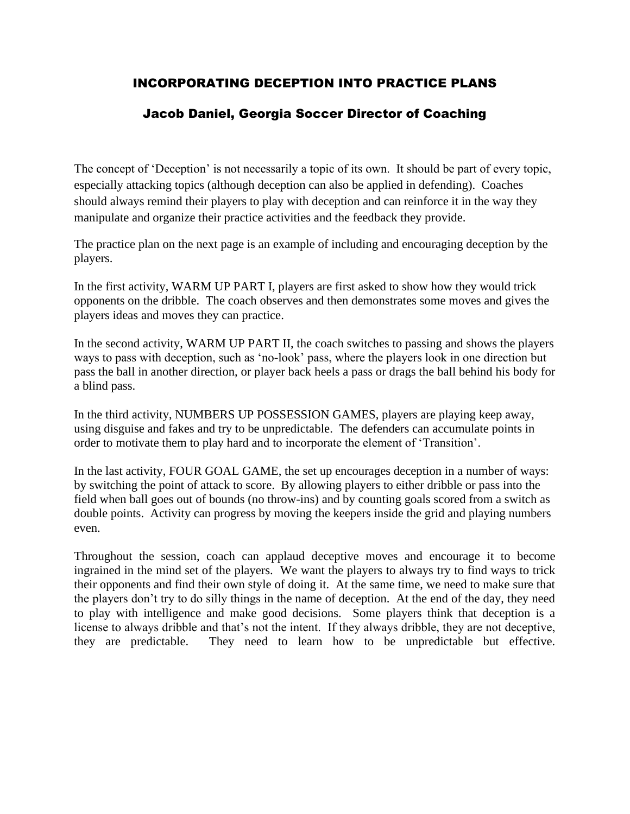# INCORPORATING DECEPTION INTO PRACTICE PLANS

# Jacob Daniel, Georgia Soccer Director of Coaching

The concept of 'Deception' is not necessarily a topic of its own. It should be part of every topic, especially attacking topics (although deception can also be applied in defending). Coaches should always remind their players to play with deception and can reinforce it in the way they manipulate and organize their practice activities and the feedback they provide.

The practice plan on the next page is an example of including and encouraging deception by the players.

In the first activity, WARM UP PART I, players are first asked to show how they would trick opponents on the dribble. The coach observes and then demonstrates some moves and gives the players ideas and moves they can practice.

In the second activity, WARM UP PART II, the coach switches to passing and shows the players ways to pass with deception, such as 'no-look' pass, where the players look in one direction but pass the ball in another direction, or player back heels a pass or drags the ball behind his body for a blind pass.

In the third activity, NUMBERS UP POSSESSION GAMES, players are playing keep away, using disguise and fakes and try to be unpredictable. The defenders can accumulate points in order to motivate them to play hard and to incorporate the element of 'Transition'.

In the last activity, FOUR GOAL GAME, the set up encourages deception in a number of ways: by switching the point of attack to score. By allowing players to either dribble or pass into the field when ball goes out of bounds (no throw-ins) and by counting goals scored from a switch as double points. Activity can progress by moving the keepers inside the grid and playing numbers even.

Throughout the session, coach can applaud deceptive moves and encourage it to become ingrained in the mind set of the players. We want the players to always try to find ways to trick their opponents and find their own style of doing it. At the same time, we need to make sure that the players don't try to do silly things in the name of deception. At the end of the day, they need to play with intelligence and make good decisions. Some players think that deception is a license to always dribble and that's not the intent. If they always dribble, they are not deceptive, they are predictable. They need to learn how to be unpredictable but effective.